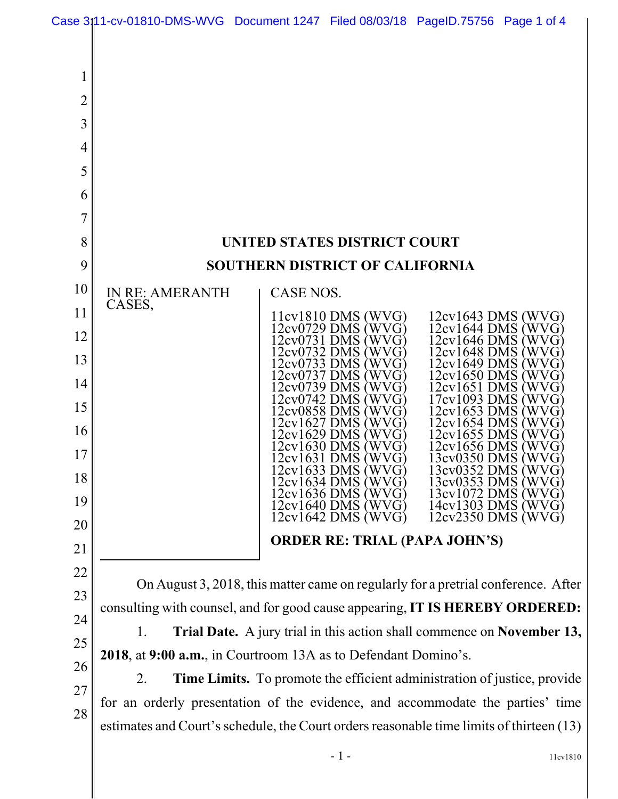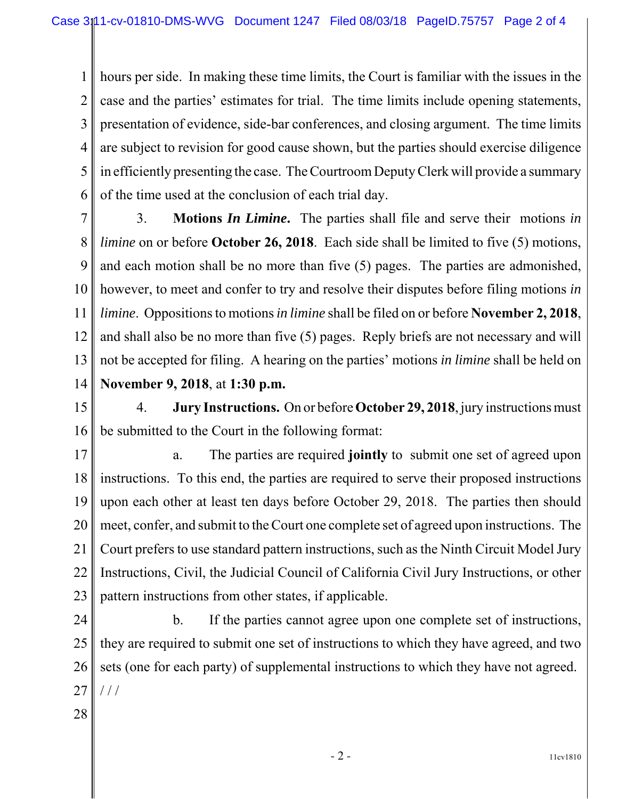1 2 3 4 5 6 hours per side. In making these time limits, the Court is familiar with the issues in the case and the parties' estimates for trial. The time limits include opening statements, presentation of evidence, side-bar conferences, and closing argument. The time limits are subject to revision for good cause shown, but the parties should exercise diligence in efficiently presenting the case. The Courtroom Deputy Clerk will provide a summary of the time used at the conclusion of each trial day.

7 8 9 10 11 12 13 14 3. **Motions** *In Limine***.** The parties shall file and serve their motions *in limine* on or before **October 26, 2018**. Each side shall be limited to five (5) motions, and each motion shall be no more than five (5) pages. The parties are admonished, however, to meet and confer to try and resolve their disputes before filing motions *in limine*. Oppositions to motions *in limine* shall be filed on or before **November 2, 2018**, and shall also be no more than five (5) pages. Reply briefs are not necessary and will not be accepted for filing. A hearing on the parties' motions *in limine* shall be held on **November 9, 2018**, at **1:30 p.m.**

15 16 4. **Jury Instructions.** On or before **October 29, 2018**, jury instructions must be submitted to the Court in the following format:

17 18 19 20 21 22 23 a. The parties are required **jointly** to submit one set of agreed upon instructions. To this end, the parties are required to serve their proposed instructions upon each other at least ten days before October 29, 2018. The parties then should meet, confer, and submit to the Court one complete set of agreed upon instructions. The Court prefers to use standard pattern instructions, such as the Ninth Circuit Model Jury Instructions, Civil, the Judicial Council of California Civil Jury Instructions, or other pattern instructions from other states, if applicable.

24 25 26 27 b. If the parties cannot agree upon one complete set of instructions, they are required to submit one set of instructions to which they have agreed, and two sets (one for each party) of supplemental instructions to which they have not agreed. / / /

28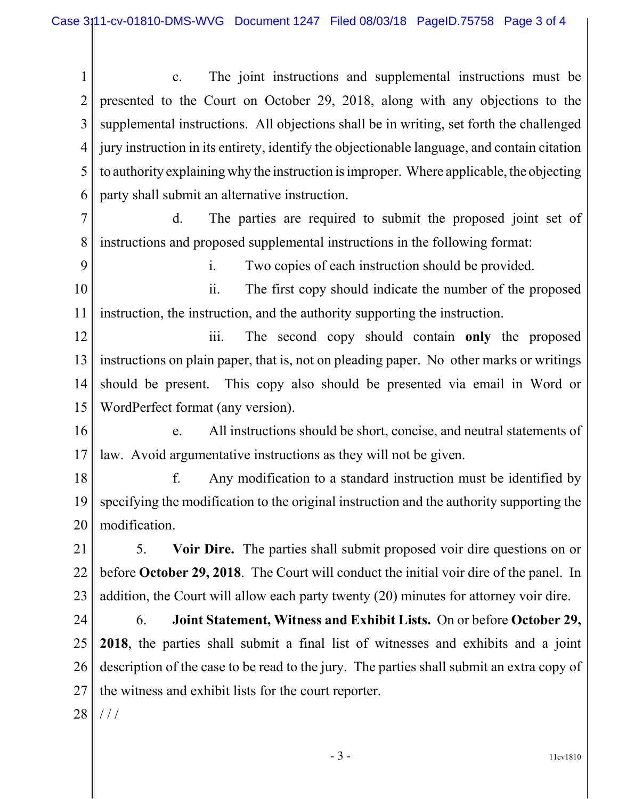1 2 3 4 5 6 c. The joint instructions and supplemental instructions must be presented to the Court on October 29, 2018, along with any objections to the supplemental instructions. All objections shall be in writing, set forth the challenged jury instruction in its entirety, identify the objectionable language, and contain citation to authority explaining why the instruction is improper. Where applicable, the objecting party shall submit an alternative instruction.

7 8 d. The parties are required to submit the proposed joint set of instructions and proposed supplemental instructions in the following format:

9

i. Two copies of each instruction should be provided.

10 11 ii. The first copy should indicate the number of the proposed instruction, the instruction, and the authority supporting the instruction.

12 13 14 15 iii. The second copy should contain **only** the proposed instructions on plain paper, that is, not on pleading paper. No other marks or writings should be present. This copy also should be presented via email in Word or WordPerfect format (any version).

16 17 e. All instructions should be short, concise, and neutral statements of law. Avoid argumentative instructions as they will not be given.

18 19 20 f. Any modification to a standard instruction must be identified by specifying the modification to the original instruction and the authority supporting the modification.

21 22 23 5. **Voir Dire.** The parties shall submit proposed voir dire questions on or before **October 29, 2018**. The Court will conduct the initial voir dire of the panel. In addition, the Court will allow each party twenty (20) minutes for attorney voir dire.

24 25 26 27 6. **Joint Statement, Witness and Exhibit Lists.** On or before **October 29, 2018**, the parties shall submit a final list of witnesses and exhibits and a joint description of the case to be read to the jury. The parties shall submit an extra copy of the witness and exhibit lists for the court reporter.

28  $/ /$